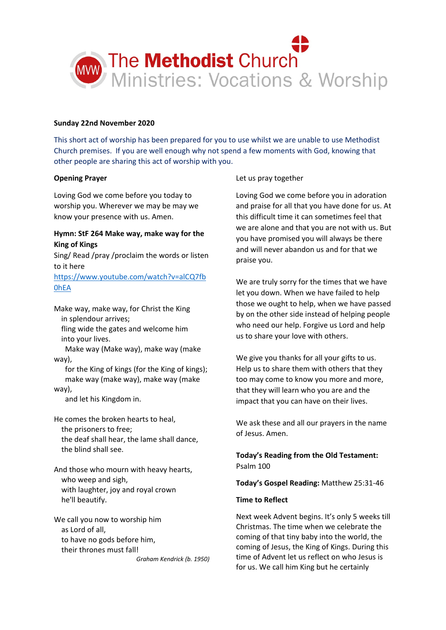

## **Sunday 22nd November 2020**

This short act of worship has been prepared for you to use whilst we are unable to use Methodist Church premises. If you are well enough why not spend a few moments with God, knowing that other people are sharing this act of worship with you.

## **Opening Prayer**

Loving God we come before you today to worship you. Wherever we may be may we know your presence with us. Amen.

# **Hymn: StF 264 Make way, make way for the King of Kings**

Sing/ Read /pray /proclaim the words or listen to it here

[https://www.youtube.com/watch?v=alCQ7fb](https://www.youtube.com/watch?v=alCQ7fb0hEA) [0hEA](https://www.youtube.com/watch?v=alCQ7fb0hEA)

Make way, make way, for Christ the King in splendour arrives;

 fling wide the gates and welcome him into your lives.

 Make way (Make way), make way (make way),

 for the King of kings (for the King of kings); make way (make way), make way (make way),

and let his Kingdom in.

He comes the broken hearts to heal, the prisoners to free; the deaf shall hear, the lame shall dance, the blind shall see.

And those who mourn with heavy hearts, who weep and sigh, with laughter, joy and royal crown he'll beautify.

We call you now to worship him as Lord of all, to have no gods before him, their thrones must fall! *Graham Kendrick (b. 1950)*

## Let us pray together

Loving God we come before you in adoration and praise for all that you have done for us. At this difficult time it can sometimes feel that we are alone and that you are not with us. But you have promised you will always be there and will never abandon us and for that we praise you.

We are truly sorry for the times that we have let you down. When we have failed to help those we ought to help, when we have passed by on the other side instead of helping people who need our help. Forgive us Lord and help us to share your love with others.

We give you thanks for all your gifts to us. Help us to share them with others that they too may come to know you more and more, that they will learn who you are and the impact that you can have on their lives.

We ask these and all our prayers in the name of Jesus. Amen.

**Today's Reading from the Old Testament:** Psalm 100

**Today's Gospel Reading:** Matthew 25:31-46

### **Time to Reflect**

Next week Advent begins. It's only 5 weeks till Christmas. The time when we celebrate the coming of that tiny baby into the world, the coming of Jesus, the King of Kings. During this time of Advent let us reflect on who Jesus is for us. We call him King but he certainly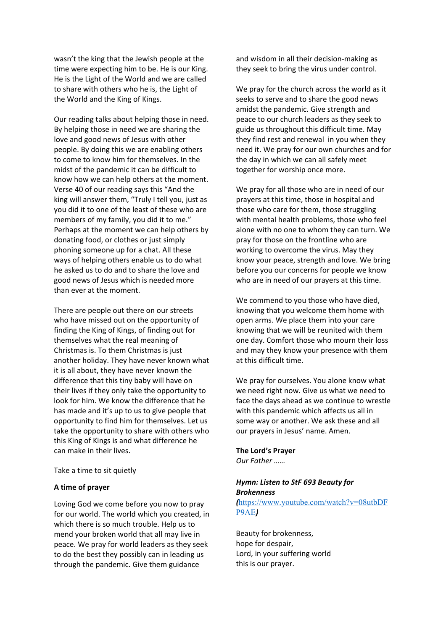wasn't the king that the Jewish people at the time were expecting him to be. He is our King. He is the Light of the World and we are called to share with others who he is, the Light of the World and the King of Kings.

Our reading talks about helping those in need. By helping those in need we are sharing the love and good news of Jesus with other people. By doing this we are enabling others to come to know him for themselves. In the midst of the pandemic it can be difficult to know how we can help others at the moment. Verse 40 of our reading says this "And the king will answer them, "Truly I tell you, just as you did it to one of the least of these who are members of my family, you did it to me." Perhaps at the moment we can help others by donating food, or clothes or just simply phoning someone up for a chat. All these ways of helping others enable us to do what he asked us to do and to share the love and good news of Jesus which is needed more than ever at the moment.

There are people out there on our streets who have missed out on the opportunity of finding the King of Kings, of finding out for themselves what the real meaning of Christmas is. To them Christmas is just another holiday. They have never known what it is all about, they have never known the difference that this tiny baby will have on their lives if they only take the opportunity to look for him. We know the difference that he has made and it's up to us to give people that opportunity to find him for themselves. Let us take the opportunity to share with others who this King of Kings is and what difference he can make in their lives.

Take a time to sit quietly

### **A time of prayer**

Loving God we come before you now to pray for our world. The world which you created, in which there is so much trouble. Help us to mend your broken world that all may live in peace. We pray for world leaders as they seek to do the best they possibly can in leading us through the pandemic. Give them guidance

and wisdom in all their decision-making as they seek to bring the virus under control.

We pray for the church across the world as it seeks to serve and to share the good news amidst the pandemic. Give strength and peace to our church leaders as they seek to guide us throughout this difficult time. May they find rest and renewal in you when they need it. We pray for our own churches and for the day in which we can all safely meet together for worship once more.

We pray for all those who are in need of our prayers at this time, those in hospital and those who care for them, those struggling with mental health problems, those who feel alone with no one to whom they can turn. We pray for those on the frontline who are working to overcome the virus. May they know your peace, strength and love. We bring before you our concerns for people we know who are in need of our prayers at this time.

We commend to you those who have died, knowing that you welcome them home with open arms. We place them into your care knowing that we will be reunited with them one day. Comfort those who mourn their loss and may they know your presence with them at this difficult time.

We pray for ourselves. You alone know what we need right now. Give us what we need to face the days ahead as we continue to wrestle with this pandemic which affects us all in some way or another. We ask these and all our prayers in Jesus' name. Amen.

**The Lord's Prayer** *Our Father ……*

# *Hymn: Listen to StF 693 Beauty for Brokenness*

*(*[https://www.youtube.com/watch?v=08utbDF](https://www.youtube.com/watch?v=08utbDFP9AE) [P9AE](https://www.youtube.com/watch?v=08utbDFP9AE)*)*

Beauty for brokenness, hope for despair, Lord, in your suffering world this is our prayer.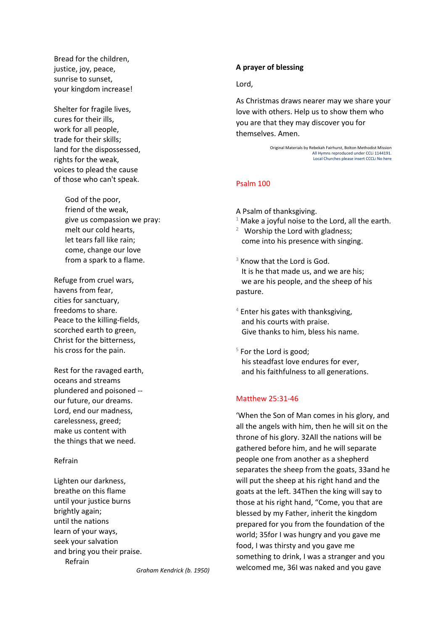Bread for the children, justice, joy, peace, sunrise to sunset, your kingdom increase!

Shelter for fragile lives, cures for their ills, work for all people, trade for their skills; land for the dispossessed, rights for the weak, voices to plead the cause of those who can't speak.

> God of the poor, friend of the weak, give us compassion we pray: melt our cold hearts, let tears fall like rain; come, change our love from a spark to a flame.

Refuge from cruel wars, havens from fear, cities for sanctuary, freedoms to share. Peace to the killing-fields, scorched earth to green, Christ for the bitterness, his cross for the pain.

Rest for the ravaged earth, oceans and streams plundered and poisoned - our future, our dreams. Lord, end our madness, carelessness, greed; make us content with the things that we need.

### Refrain

Lighten our darkness, breathe on this flame until your justice burns brightly again; until the nations learn of your ways, seek your salvation and bring you their praise. Refrain

# As Christmas draws nearer may we share your

Lord,

**A prayer of blessing**

love with others. Help us to show them who you are that they may discover you for themselves. Amen.

> Original Materials by Rebekah Fairhurst, Bolton Methodist Mission All Hymns reproduced under CCLi 1144191. Local Churches please insert CCCLi No here

## Psalm 100

A Psalm of thanksgiving.

- $1$  Make a joyful noise to the Lord, all the earth.
- $2$  Worship the Lord with gladness; come into his presence with singing.
- $3$  Know that the Lord is God. It is he that made us, and we are his; we are his people, and the sheep of his pasture.
- $4$  Enter his gates with thanksgiving, and his courts with praise. Give thanks to him, bless his name.
- $5$  For the Lord is good; his steadfast love endures for ever, and his faithfulness to all generations.

## Matthew 25:31-46

'When the Son of Man comes in his glory, and all the angels with him, then he will sit on the throne of his glory. 32All the nations will be gathered before him, and he will separate people one from another as a shepherd separates the sheep from the goats, 33and he will put the sheep at his right hand and the goats at the left. 34Then the king will say to those at his right hand, "Come, you that are blessed by my Father, inherit the kingdom prepared for you from the foundation of the world; 35for I was hungry and you gave me food, I was thirsty and you gave me something to drink, I was a stranger and you welcomed me, 36I was naked and you gave